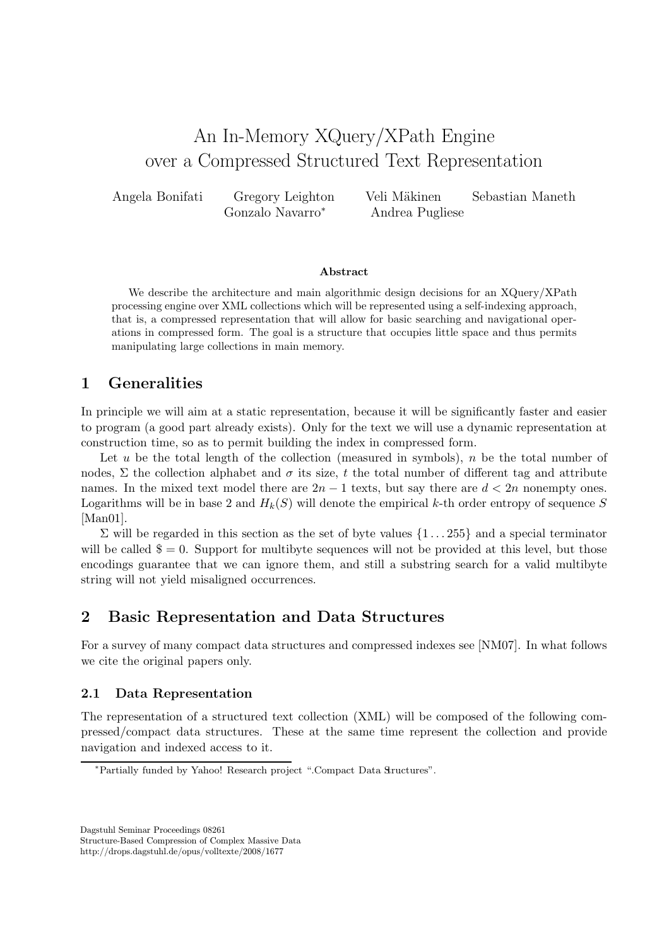# An In-Memory XQuery/XPath Engine over a Compressed Structured Text Representation

Angela Bonifati Gregory Leighton Veli Mäkinen Sebastian Maneth Gonzalo Navarro<sup>∗</sup> Andrea Pugliese

#### Abstract

We describe the architecture and main algorithmic design decisions for an XQuery/XPath processing engine over XML collections which will be represented using a self-indexing approach, that is, a compressed representation that will allow for basic searching and navigational operations in compressed form. The goal is a structure that occupies little space and thus permits manipulating large collections in main memory.

### 1 Generalities

In principle we will aim at a static representation, because it will be significantly faster and easier to program (a good part already exists). Only for the text we will use a dynamic representation at construction time, so as to permit building the index in compressed form.

Let u be the total length of the collection (measured in symbols),  $n$  be the total number of nodes,  $\Sigma$  the collection alphabet and  $\sigma$  its size, t the total number of different tag and attribute names. In the mixed text model there are  $2n-1$  texts, but say there are  $d < 2n$  nonempty ones. Logarithms will be in base 2 and  $H_k(S)$  will denote the empirical k-th order entropy of sequence S [Man01].

 $\Sigma$  will be regarded in this section as the set of byte values  $\{1 \dots 255\}$  and a special terminator will be called  $\$ = 0$ . Support for multibyte sequences will not be provided at this level, but those encodings guarantee that we can ignore them, and still a substring search for a valid multibyte string will not yield misaligned occurrences.

### 2 Basic Representation and Data Structures

For a survey of many compact data structures and compressed indexes see [NM07]. In what follows we cite the original papers only.

### 2.1 Data Representation

The representation of a structured text collection (XML) will be composed of the following compressed/compact data structures. These at the same time represent the collection and provide navigation and indexed access to it.

Dagstuhl Seminar Proceedings 08261

Structure-Based Compression of Complex Massive Data http://drops.dagstuhl.de/opus/volltexte/2008/1677

<sup>\*</sup>Partially funded by Yahoo! Research project ".Compact Data Structures".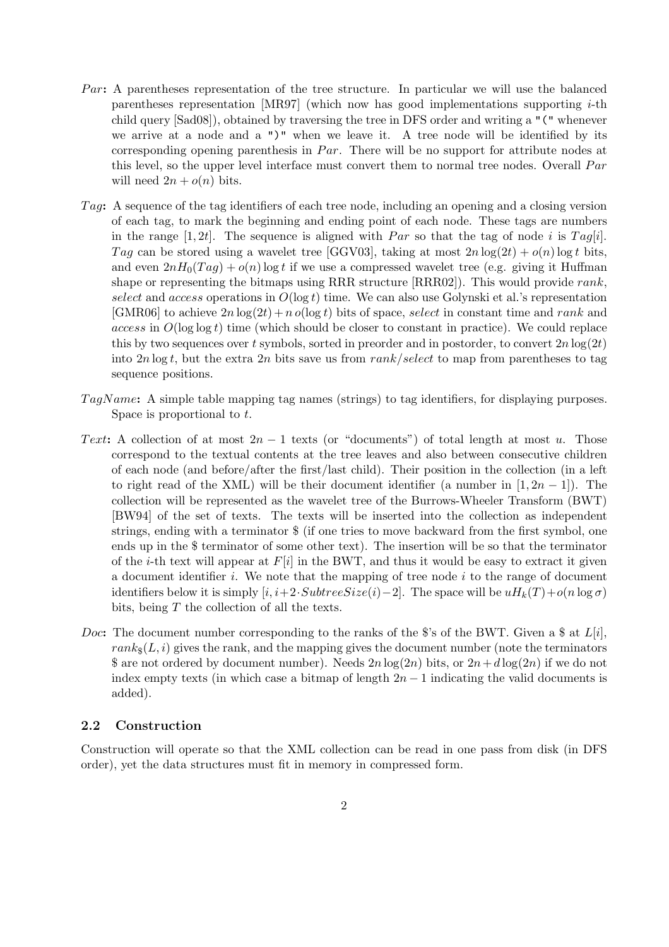- Par: A parentheses representation of the tree structure. In particular we will use the balanced parentheses representation [MR97] (which now has good implementations supporting i-th child query [Sad08]), obtained by traversing the tree in DFS order and writing a "(" whenever we arrive at a node and a ")" when we leave it. A tree node will be identified by its corresponding opening parenthesis in  $Par$ . There will be no support for attribute nodes at this level, so the upper level interface must convert them to normal tree nodes. Overall  $Par$ will need  $2n + o(n)$  bits.
- Tag: A sequence of the tag identifiers of each tree node, including an opening and a closing version of each tag, to mark the beginning and ending point of each node. These tags are numbers in the range [1, 2t]. The sequence is aligned with Par so that the tag of node i is Tag[i]. Tag can be stored using a wavelet tree [GGV03], taking at most  $2n \log(2t) + o(n) \log t$  bits, and even  $2nH_0(Taq) + o(n)$  log t if we use a compressed wavelet tree (e.g. giving it Huffman shape or representing the bitmaps using RRR structure [RRR02]). This would provide rank, select and access operations in  $O(\log t)$  time. We can also use Golynski et al.'s representation [GMR06] to achieve  $2n \log(2t) + n o(\log t)$  bits of space, select in constant time and rank and access in  $O(\log \log t)$  time (which should be closer to constant in practice). We could replace this by two sequences over t symbols, sorted in preorder and in postorder, to convert  $2n \log(2t)$ into  $2n \log t$ , but the extra  $2n$  bits save us from rank/select to map from parentheses to tag sequence positions.
- TagName: A simple table mapping tag names (strings) to tag identifiers, for displaying purposes. Space is proportional to t.
- Text: A collection of at most  $2n-1$  texts (or "documents") of total length at most u. Those correspond to the textual contents at the tree leaves and also between consecutive children of each node (and before/after the first/last child). Their position in the collection (in a left to right read of the XML) will be their document identifier (a number in  $[1, 2n - 1]$ ). The collection will be represented as the wavelet tree of the Burrows-Wheeler Transform (BWT) [BW94] of the set of texts. The texts will be inserted into the collection as independent strings, ending with a terminator \$ (if one tries to move backward from the first symbol, one ends up in the \$ terminator of some other text). The insertion will be so that the terminator of the *i*-th text will appear at  $F[i]$  in the BWT, and thus it would be easy to extract it given a document identifier i. We note that the mapping of tree node  $i$  to the range of document identifiers below it is simply  $[i, i+2\text{·}SubtreeSize(i)-2]$ . The space will be  $uH_k(T)+o(n\log\sigma)$ bits, being  $T$  the collection of all the texts.
- *Doc*: The document number corresponding to the ranks of the \$'s of the BWT. Given a \$ at  $L[i]$ ,  $rank_{\mathcal{S}}(L, i)$  gives the rank, and the mapping gives the document number (note the terminators \$ are not ordered by document number). Needs  $2n \log(2n)$  bits, or  $2n+d \log(2n)$  if we do not index empty texts (in which case a bitmap of length  $2n - 1$  indicating the valid documents is added).

### 2.2 Construction

Construction will operate so that the XML collection can be read in one pass from disk (in DFS order), yet the data structures must fit in memory in compressed form.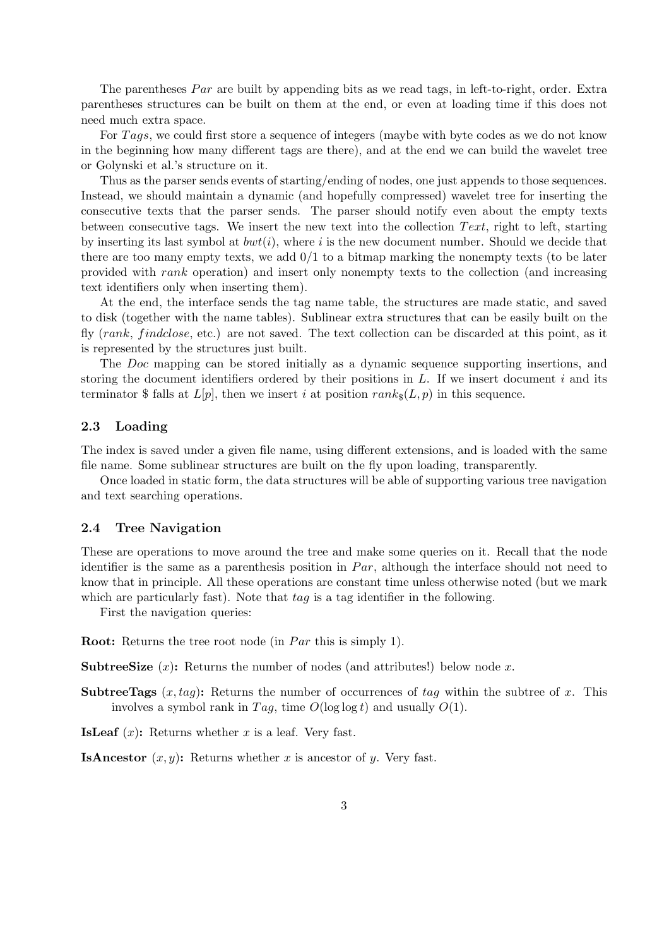The parentheses  $Par$  are built by appending bits as we read tags, in left-to-right, order. Extra parentheses structures can be built on them at the end, or even at loading time if this does not need much extra space.

For Tags, we could first store a sequence of integers (maybe with byte codes as we do not know in the beginning how many different tags are there), and at the end we can build the wavelet tree or Golynski et al.'s structure on it.

Thus as the parser sends events of starting/ending of nodes, one just appends to those sequences. Instead, we should maintain a dynamic (and hopefully compressed) wavelet tree for inserting the consecutive texts that the parser sends. The parser should notify even about the empty texts between consecutive tags. We insert the new text into the collection  $Text$ , right to left, starting by inserting its last symbol at  $bwt(i)$ , where i is the new document number. Should we decide that there are too many empty texts, we add 0/1 to a bitmap marking the nonempty texts (to be later provided with rank operation) and insert only nonempty texts to the collection (and increasing text identifiers only when inserting them).

At the end, the interface sends the tag name table, the structures are made static, and saved to disk (together with the name tables). Sublinear extra structures that can be easily built on the fly  $(rank, findclose, etc.)$  are not saved. The text collection can be discarded at this point, as it is represented by the structures just built.

The Doc mapping can be stored initially as a dynamic sequence supporting insertions, and storing the document identifiers ordered by their positions in  $L$ . If we insert document i and its terminator \$ falls at  $L[p]$ , then we insert i at position  $rank_{\mathcal{S}}(L, p)$  in this sequence.

### 2.3 Loading

The index is saved under a given file name, using different extensions, and is loaded with the same file name. Some sublinear structures are built on the fly upon loading, transparently.

Once loaded in static form, the data structures will be able of supporting various tree navigation and text searching operations.

#### 2.4 Tree Navigation

These are operations to move around the tree and make some queries on it. Recall that the node identifier is the same as a parenthesis position in  $Par$ , although the interface should not need to know that in principle. All these operations are constant time unless otherwise noted (but we mark which are particularly fast). Note that  $taq$  is a tag identifier in the following.

First the navigation queries:

**Root:** Returns the tree root node (in *Par* this is simply 1).

**SubtreeSize**  $(x)$ : Returns the number of nodes (and attributes!) below node x.

**SubtreeTags**  $(x, tag)$ : Returns the number of occurrences of tag within the subtree of x. This involves a symbol rank in Tag, time  $O(\log \log t)$  and usually  $O(1)$ .

**IsLeaf**  $(x)$ : Returns whether x is a leaf. Very fast.

**IsAncestor**  $(x, y)$ : Returns whether x is ancestor of y. Very fast.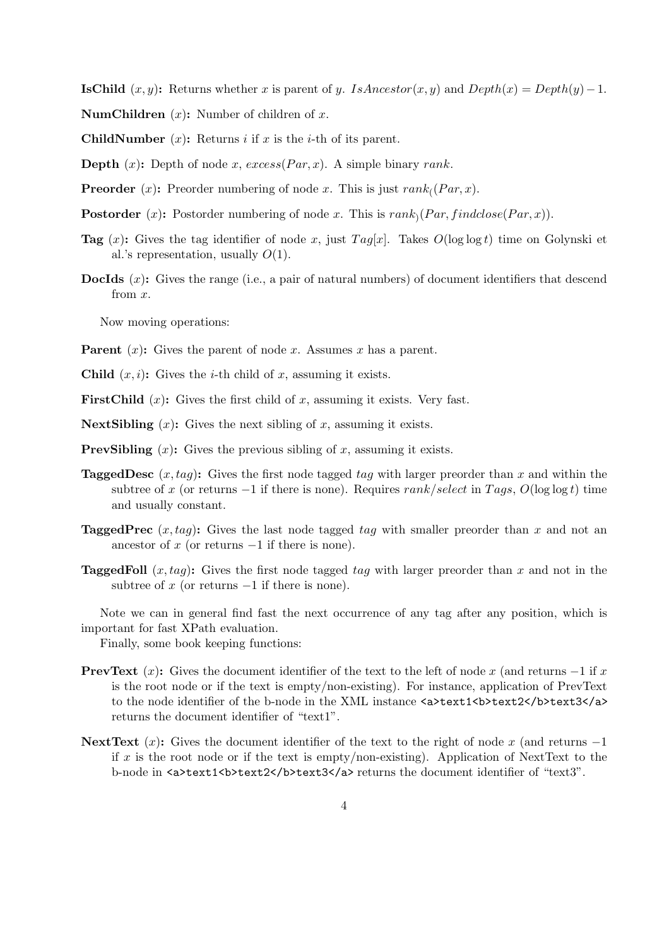**IsChild**  $(x, y)$ : Returns whether x is parent of y. IsAncestor(x, y) and Depth(x) = Depth(y) – 1. **NumChildren**  $(x)$ : Number of children of x.

**ChildNumber**  $(x)$ : Returns *i* if *x* is the *i*-th of its parent.

**Depth** (x): Depth of node x,  $excess(Par, x)$ . A simple binary rank.

- **Preorder** (*x*): Preorder numbering of node *x*. This is just  $rank_{(}(Par, x)$ .
- **Postorder** (*x*): Postorder numbering of node *x*. This is  $rank_0(Par, findclose(Par,x))$ .
- **Tag** (x): Gives the tag identifier of node x, just  $Tag[x]$ . Takes  $O(\log \log t)$  time on Golynski et al.'s representation, usually  $O(1)$ .
- DocIds (x): Gives the range (i.e., a pair of natural numbers) of document identifiers that descend from x.

Now moving operations:

- **Parent**  $(x)$ : Gives the parent of node x. Assumes x has a parent.
- Child  $(x, i)$ : Gives the *i*-th child of *x*, assuming it exists.
- **FirstChild**  $(x)$ : Gives the first child of x, assuming it exists. Very fast.
- **NextSibling**  $(x)$ : Gives the next sibling of x, assuming it exists.
- **PrevSibling**  $(x)$ : Gives the previous sibling of x, assuming it exists.
- **TaggedDesc**  $(x, taq)$ : Gives the first node tagged  $taq$  with larger preorder than x and within the subtree of x (or returns  $-1$  if there is none). Requires rank/select in Tags,  $O(\log \log t)$  time and usually constant.
- **TaggedPrec**  $(x, tag)$ : Gives the last node tagged tag with smaller preorder than x and not an ancestor of  $x$  (or returns  $-1$  if there is none).
- **TaggedFoll**  $(x, taq)$ : Gives the first node tagged tag with larger preorder than x and not in the subtree of x (or returns  $-1$  if there is none).

Note we can in general find fast the next occurrence of any tag after any position, which is important for fast XPath evaluation.

Finally, some book keeping functions:

- **PrevText**  $(x)$ : Gives the document identifier of the text to the left of node x (and returns  $-1$  if x is the root node or if the text is empty/non-existing). For instance, application of PrevText to the node identifier of the b-node in the XML instance  $\langle a \rangle$ text1 $\langle b \rangle$ text2 $\langle b \rangle$ text3 $\langle a \rangle$ returns the document identifier of "text1".
- NextText  $(x)$ : Gives the document identifier of the text to the right of node x (and returns -1 if x is the root node or if the text is empty/non-existing). Application of NextText to the b-node in <a>text1<br/>b>text2</b>text3</a> returns the document identifier of "text3".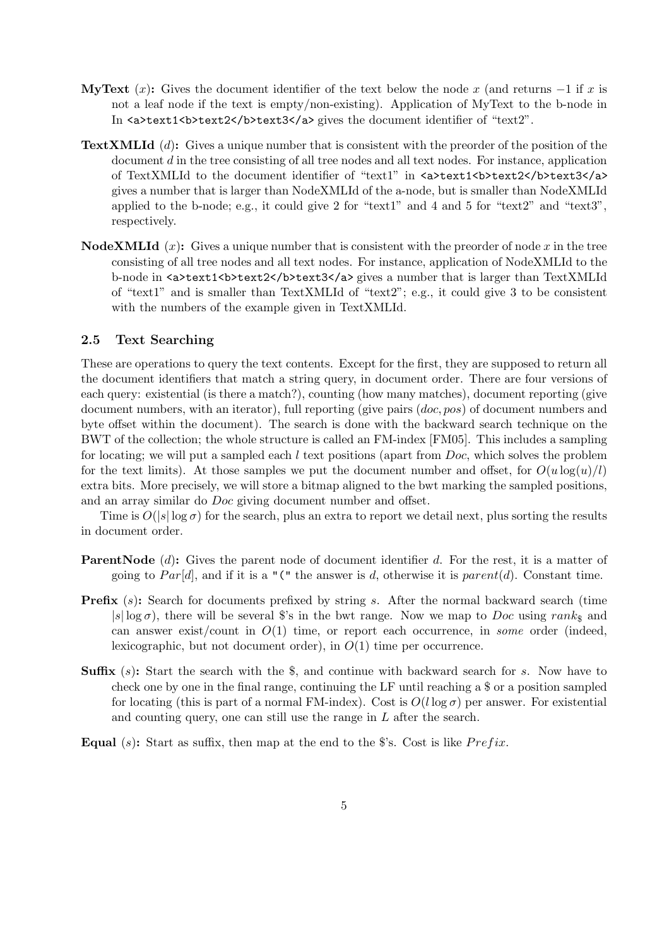- MyText  $(x)$ : Gives the document identifier of the text below the node x (and returns  $-1$  if x is not a leaf node if the text is empty/non-existing). Application of MyText to the b-node in In  $\langle a \rangle$ text1 $\langle b \rangle$ text2 $\langle b \rangle$ text3 $\langle a \rangle$  gives the document identifier of "text2".
- TextXMLId (d): Gives a unique number that is consistent with the preorder of the position of the document d in the tree consisting of all tree nodes and all text nodes. For instance, application of TextXMLId to the document identifier of "text1" in <a>text1<br/>k>text2</b>text3</a></a> gives a number that is larger than NodeXMLId of the a-node, but is smaller than NodeXMLId applied to the b-node; e.g., it could give 2 for "text1" and 4 and 5 for "text2" and "text3", respectively.
- **NodeXMLId**  $(x)$ : Gives a unique number that is consistent with the preorder of node x in the tree consisting of all tree nodes and all text nodes. For instance, application of NodeXMLId to the b-node in <a>text1<br/>b>text2</b>text3</a> gives a number that is larger than TextXMLId of "text1" and is smaller than TextXMLId of "text2"; e.g., it could give 3 to be consistent with the numbers of the example given in TextXMLId.

### 2.5 Text Searching

These are operations to query the text contents. Except for the first, they are supposed to return all the document identifiers that match a string query, in document order. There are four versions of each query: existential (is there a match?), counting (how many matches), document reporting (give document numbers, with an iterator), full reporting (give pairs (*doc*, *pos*) of document numbers and byte offset within the document). The search is done with the backward search technique on the BWT of the collection; the whole structure is called an FM-index [FM05]. This includes a sampling for locating; we will put a sampled each  $l$  text positions (apart from  $Doc$ , which solves the problem for the text limits). At those samples we put the document number and offset, for  $O(u \log(u)/l)$ extra bits. More precisely, we will store a bitmap aligned to the bwt marking the sampled positions, and an array similar do Doc giving document number and offset.

Time is  $O(|s| \log \sigma)$  for the search, plus an extra to report we detail next, plus sorting the results in document order.

- **ParentNode** (d): Gives the parent node of document identifier d. For the rest, it is a matter of going to  $Par[d]$ , and if it is a "(" the answer is d, otherwise it is parent(d). Constant time.
- **Prefix**  $(s)$ : Search for documents prefixed by string s. After the normal backward search (time  $|s| \log \sigma$ , there will be several \$'s in the bwt range. Now we map to *Doc* using rank<sub>\$</sub> and can answer exist/count in  $O(1)$  time, or report each occurrence, in some order (indeed, lexicographic, but not document order), in  $O(1)$  time per occurrence.
- **Suffix**  $(s)$ : Start the search with the \$, and continue with backward search for s. Now have to check one by one in the final range, continuing the LF until reaching a \$ or a position sampled for locating (this is part of a normal FM-index). Cost is  $O(l \log \sigma)$  per answer. For existential and counting query, one can still use the range in  $L$  after the search.
- Equal (s): Start as suffix, then map at the end to the \$'s. Cost is like  $Prefix$ .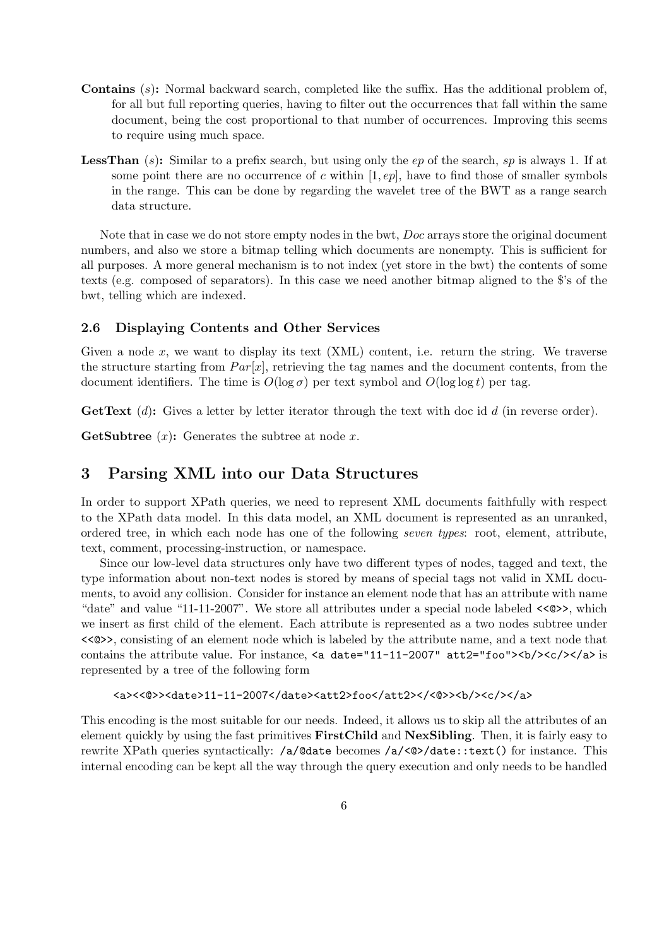- Contains (s): Normal backward search, completed like the suffix. Has the additional problem of, for all but full reporting queries, having to filter out the occurrences that fall within the same document, being the cost proportional to that number of occurrences. Improving this seems to require using much space.
- **LessThan** (s): Similar to a prefix search, but using only the ep of the search, sp is always 1. If at some point there are no occurrence of c within  $[1, ep]$ , have to find those of smaller symbols in the range. This can be done by regarding the wavelet tree of the BWT as a range search data structure.

Note that in case we do not store empty nodes in the bwt, Doc arrays store the original document numbers, and also we store a bitmap telling which documents are nonempty. This is sufficient for all purposes. A more general mechanism is to not index (yet store in the bwt) the contents of some texts (e.g. composed of separators). In this case we need another bitmap aligned to the \$'s of the bwt, telling which are indexed.

### 2.6 Displaying Contents and Other Services

Given a node x, we want to display its text  $(XML)$  content, i.e. return the string. We traverse the structure starting from  $Par[x]$ , retrieving the tag names and the document contents, from the document identifiers. The time is  $O(\log \sigma)$  per text symbol and  $O(\log \log t)$  per tag.

**GetText** (d): Gives a letter by letter iterator through the text with doc id  $d$  (in reverse order).

**GetSubtree**  $(x)$ : Generates the subtree at node x.

### 3 Parsing XML into our Data Structures

In order to support XPath queries, we need to represent XML documents faithfully with respect to the XPath data model. In this data model, an XML document is represented as an unranked, ordered tree, in which each node has one of the following seven types: root, element, attribute, text, comment, processing-instruction, or namespace.

Since our low-level data structures only have two different types of nodes, tagged and text, the type information about non-text nodes is stored by means of special tags not valid in XML documents, to avoid any collision. Consider for instance an element node that has an attribute with name "date" and value "11-11-2007". We store all attributes under a special node labeled <<@>>, which we insert as first child of the element. Each attribute is represented as a two nodes subtree under <<@>>, consisting of an element node which is labeled by the attribute name, and a text node that contains the attribute value. For instance,  $\leq a$  date="11-11-2007" att2="foo"> $\lt b$ /> $\lt c$ / $\lt c$ / $\gt c$ represented by a tree of the following form

```
<a><<@>><date>11-11-2007</date><att2>foo</att2></<@>><b/>><b/><</></a></a><<
```
This encoding is the most suitable for our needs. Indeed, it allows us to skip all the attributes of an element quickly by using the fast primitives FirstChild and NexSibling. Then, it is fairly easy to rewrite XPath queries syntactically: /a/@date becomes /a/<@>/date::text() for instance. This internal encoding can be kept all the way through the query execution and only needs to be handled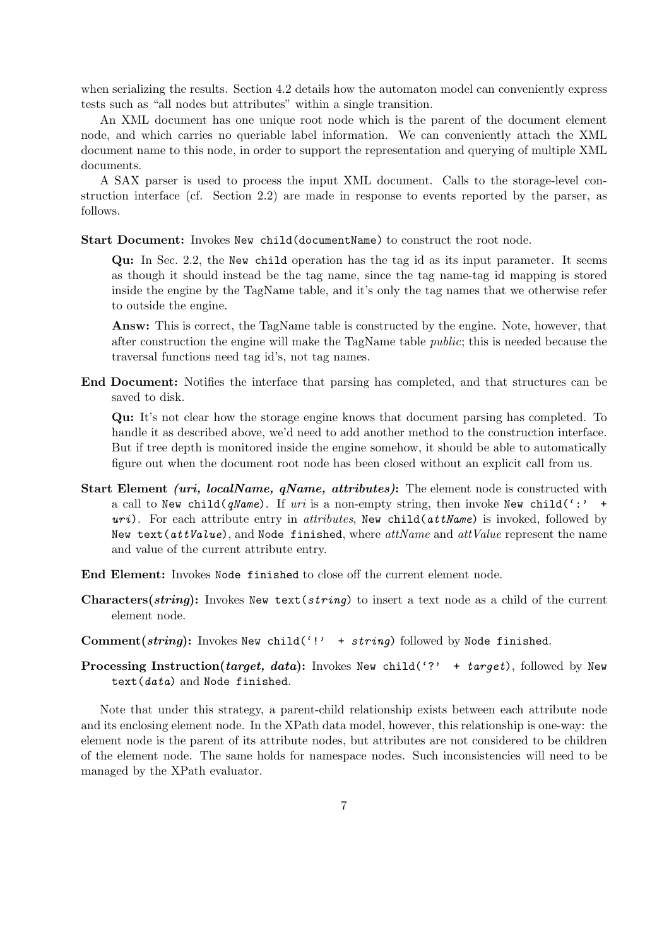when serializing the results. Section 4.2 details how the automaton model can conveniently express tests such as "all nodes but attributes" within a single transition.

An XML document has one unique root node which is the parent of the document element node, and which carries no queriable label information. We can conveniently attach the XML document name to this node, in order to support the representation and querying of multiple XML documents.

A SAX parser is used to process the input XML document. Calls to the storage-level construction interface (cf. Section 2.2) are made in response to events reported by the parser, as follows.

Start Document: Invokes New child(documentName) to construct the root node.

Qu: In Sec. 2.2, the New child operation has the tag id as its input parameter. It seems as though it should instead be the tag name, since the tag name-tag id mapping is stored inside the engine by the TagName table, and it's only the tag names that we otherwise refer to outside the engine.

Answ: This is correct, the TagName table is constructed by the engine. Note, however, that after construction the engine will make the TagName table public; this is needed because the traversal functions need tag id's, not tag names.

End Document: Notifies the interface that parsing has completed, and that structures can be saved to disk.

Qu: It's not clear how the storage engine knows that document parsing has completed. To handle it as described above, we'd need to add another method to the construction interface. But if tree depth is monitored inside the engine somehow, it should be able to automatically figure out when the document root node has been closed without an explicit call from us.

- **Start Element** *(uri, localName, qName, attributes)***:** The element node is constructed with a call to New child( $qName$ ). If uri is a non-empty string, then invoke New child(':' +  $uri)$ . For each attribute entry in *attributes*, New child( $attName$ ) is invoked, followed by New text( $attValue$ ), and Node finished, where  $attName$  and  $attValue$  represent the name and value of the current attribute entry.
- End Element: Invokes Node finished to close off the current element node.
- Characters(string): Invokes New text(string) to insert a text node as a child of the current element node.
- Comment(string): Invokes New child('!' + string) followed by Node finished.
- **Processing Instruction**(target, data): Invokes New child('?' + target), followed by New text(data) and Node finished.

Note that under this strategy, a parent-child relationship exists between each attribute node and its enclosing element node. In the XPath data model, however, this relationship is one-way: the element node is the parent of its attribute nodes, but attributes are not considered to be children of the element node. The same holds for namespace nodes. Such inconsistencies will need to be managed by the XPath evaluator.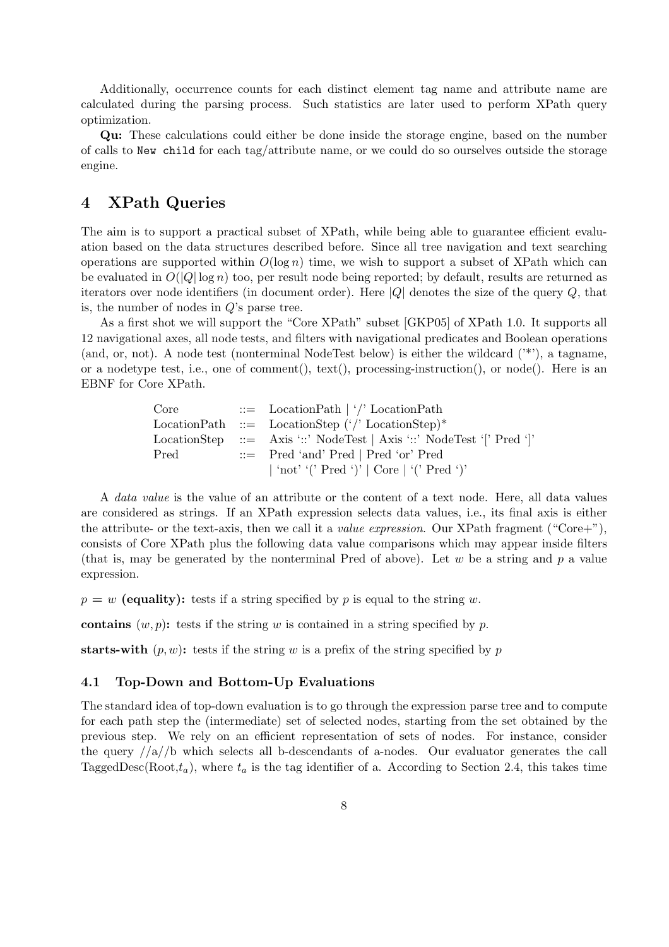Additionally, occurrence counts for each distinct element tag name and attribute name are calculated during the parsing process. Such statistics are later used to perform XPath query optimization.

Qu: These calculations could either be done inside the storage engine, based on the number of calls to New child for each tag/attribute name, or we could do so ourselves outside the storage engine.

## 4 XPath Queries

The aim is to support a practical subset of XPath, while being able to guarantee efficient evaluation based on the data structures described before. Since all tree navigation and text searching operations are supported within  $O(\log n)$  time, we wish to support a subset of XPath which can be evaluated in  $O(|Q| \log n)$  too, per result node being reported; by default, results are returned as iterators over node identifiers (in document order). Here  $|Q|$  denotes the size of the query  $Q$ , that is, the number of nodes in  $Q$ 's parse tree.

As a first shot we will support the "Core XPath" subset [GKP05] of XPath 1.0. It supports all 12 navigational axes, all node tests, and filters with navigational predicates and Boolean operations (and, or, not). A node test (nonterminal NodeTest below) is either the wildcard ('\*'), a tagname, or a nodetype test, i.e., one of comment(), text(), processing-instruction(), or node(). Here is an EBNF for Core XPath.

> Core ::= LocationPath | '/' LocationPath LocationPath ::= LocationStep  $(')'$  LocationStep)\* LocationStep ::= Axis '::' NodeTest | Axis '::' NodeTest '[' Pred ']' Pred ::= Pred 'and' Pred | Pred 'or' Pred | 'not' '(' Pred ')' | Core | '(' Pred ')'

A data value is the value of an attribute or the content of a text node. Here, all data values are considered as strings. If an XPath expression selects data values, i.e., its final axis is either the attribute- or the text-axis, then we call it a *value expression*. Our XPath fragment ("Core+"), consists of Core XPath plus the following data value comparisons which may appear inside filters (that is, may be generated by the nonterminal Pred of above). Let  $w$  be a string and  $p$  a value expression.

 $p = w$  (equality): tests if a string specified by p is equal to the string w.

contains  $(w, p)$ : tests if the string w is contained in a string specified by p.

starts-with  $(p, w)$ : tests if the string w is a prefix of the string specified by p

### 4.1 Top-Down and Bottom-Up Evaluations

The standard idea of top-down evaluation is to go through the expression parse tree and to compute for each path step the (intermediate) set of selected nodes, starting from the set obtained by the previous step. We rely on an efficient representation of sets of nodes. For instance, consider the query  $\frac{1}{a}/b$  which selects all b-descendants of a-nodes. Our evaluator generates the call TaggedDesc(Root, $t_a$ ), where  $t_a$  is the tag identifier of a. According to Section 2.4, this takes time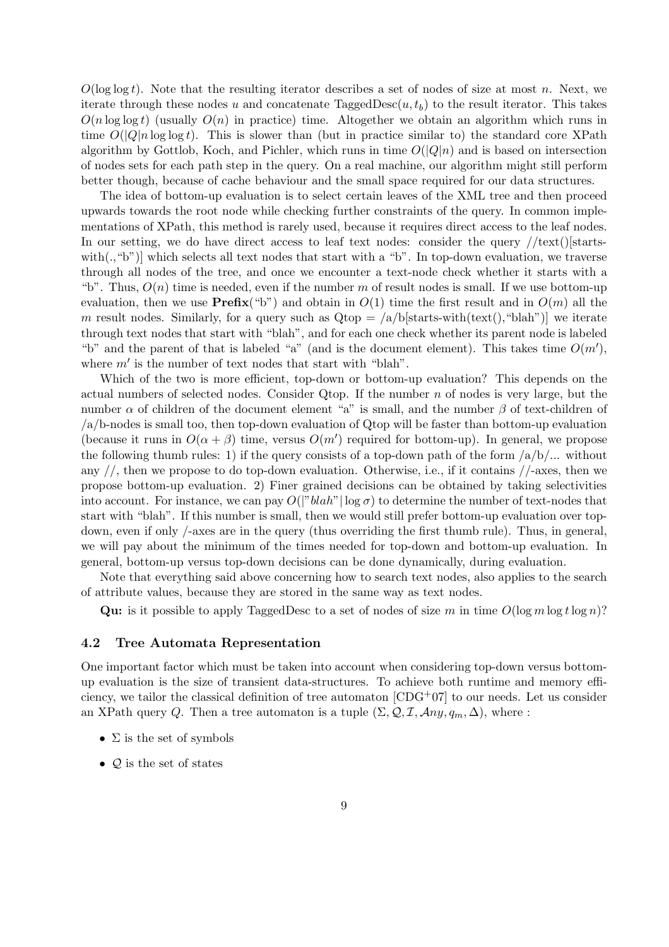$O(\log \log t)$ . Note that the resulting iterator describes a set of nodes of size at most n. Next, we iterate through these nodes u and concatenate  $\text{TaggedDesc}(u, t_b)$  to the result iterator. This takes  $O(n \log \log t)$  (usually  $O(n)$  in practice) time. Altogether we obtain an algorithm which runs in time  $O(|Q|n \log \log t)$ . This is slower than (but in practice similar to) the standard core XPath algorithm by Gottlob, Koch, and Pichler, which runs in time  $O(|Q|n)$  and is based on intersection of nodes sets for each path step in the query. On a real machine, our algorithm might still perform better though, because of cache behaviour and the small space required for our data structures.

The idea of bottom-up evaluation is to select certain leaves of the XML tree and then proceed upwards towards the root node while checking further constraints of the query. In common implementations of XPath, this method is rarely used, because it requires direct access to the leaf nodes. In our setting, we do have direct access to leaf text nodes: consider the query  $//text() starts$ with(.,"b")] which selects all text nodes that start with a "b". In top-down evaluation, we traverse through all nodes of the tree, and once we encounter a text-node check whether it starts with a "b". Thus,  $O(n)$  time is needed, even if the number m of result nodes is small. If we use bottom-up evaluation, then we use **Prefix**("b") and obtain in  $O(1)$  time the first result and in  $O(m)$  all the m result nodes. Similarly, for a query such as  $Qtop = \langle a/b|$  starts-with $(\text{text}()$ , "blah")] we iterate through text nodes that start with "blah", and for each one check whether its parent node is labeled "b" and the parent of that is labeled "a" (and is the document element). This takes time  $O(m')$ , where  $m'$  is the number of text nodes that start with "blah".

Which of the two is more efficient, top-down or bottom-up evaluation? This depends on the actual numbers of selected nodes. Consider Qtop. If the number  $n$  of nodes is very large, but the number  $\alpha$  of children of the document element "a" is small, and the number  $\beta$  of text-children of /a/b-nodes is small too, then top-down evaluation of Qtop will be faster than bottom-up evaluation (because it runs in  $O(\alpha + \beta)$  time, versus  $O(m')$  required for bottom-up). In general, we propose the following thumb rules: 1) if the query consists of a top-down path of the form  $\frac{a}{b}$ ... without any  $//$ , then we propose to do top-down evaluation. Otherwise, i.e., if it contains  $//$ -axes, then we propose bottom-up evaluation. 2) Finer grained decisions can be obtained by taking selectivities into account. For instance, we can pay  $O(|"blah" | \log \sigma)$  to determine the number of text-nodes that start with "blah". If this number is small, then we would still prefer bottom-up evaluation over topdown, even if only /-axes are in the query (thus overriding the first thumb rule). Thus, in general, we will pay about the minimum of the times needed for top-down and bottom-up evaluation. In general, bottom-up versus top-down decisions can be done dynamically, during evaluation.

Note that everything said above concerning how to search text nodes, also applies to the search of attribute values, because they are stored in the same way as text nodes.

Qu: is it possible to apply TaggedDesc to a set of nodes of size m in time  $O(\log m \log t \log n)$ ?

#### 4.2 Tree Automata Representation

One important factor which must be taken into account when considering top-down versus bottomup evaluation is the size of transient data-structures. To achieve both runtime and memory efficiency, we tailor the classical definition of tree automaton [CDG+07] to our needs. Let us consider an XPath query Q. Then a tree automaton is a tuple  $(\Sigma, \mathcal{Q}, \mathcal{I}, \mathcal{A}ny, q_m, \Delta)$ , where :

- $\Sigma$  is the set of symbols
- $\mathcal{Q}$  is the set of states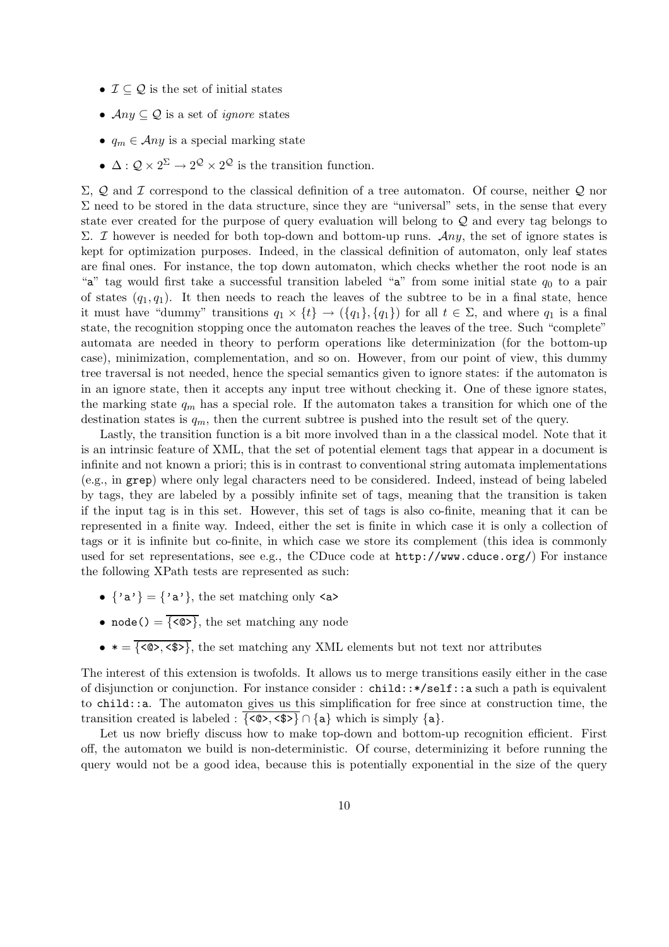- $\mathcal{I} \subseteq \mathcal{Q}$  is the set of initial states
- $Any \subseteq Q$  is a set of *ignore* states
- $q_m \in \mathcal{A}ny$  is a special marking state
- $\Delta: \mathcal{Q} \times 2^{\Sigma} \to 2^{\mathcal{Q}} \times 2^{\mathcal{Q}}$  is the transition function.

Σ,  $Q$  and  $I$  correspond to the classical definition of a tree automaton. Of course, neither  $Q$  nor  $\Sigma$  need to be stored in the data structure, since they are "universal" sets, in the sense that every state ever created for the purpose of query evaluation will belong to Q and every tag belongs to Σ. *I* however is needed for both top-down and bottom-up runs. Any, the set of ignore states is kept for optimization purposes. Indeed, in the classical definition of automaton, only leaf states are final ones. For instance, the top down automaton, which checks whether the root node is an "a" tag would first take a successful transition labeled "a" from some initial state  $q_0$  to a pair of states  $(q_1, q_1)$ . It then needs to reach the leaves of the subtree to be in a final state, hence it must have "dummy" transitions  $q_1 \times \{t\} \to (\{q_1\}, \{q_1\})$  for all  $t \in \Sigma$ , and where  $q_1$  is a final state, the recognition stopping once the automaton reaches the leaves of the tree. Such "complete" automata are needed in theory to perform operations like determinization (for the bottom-up case), minimization, complementation, and so on. However, from our point of view, this dummy tree traversal is not needed, hence the special semantics given to ignore states: if the automaton is in an ignore state, then it accepts any input tree without checking it. One of these ignore states, the marking state  $q_m$  has a special role. If the automaton takes a transition for which one of the destination states is  $q_m$ , then the current subtree is pushed into the result set of the query.

Lastly, the transition function is a bit more involved than in a the classical model. Note that it is an intrinsic feature of XML, that the set of potential element tags that appear in a document is infinite and not known a priori; this is in contrast to conventional string automata implementations (e.g., in grep) where only legal characters need to be considered. Indeed, instead of being labeled by tags, they are labeled by a possibly infinite set of tags, meaning that the transition is taken if the input tag is in this set. However, this set of tags is also co-finite, meaning that it can be represented in a finite way. Indeed, either the set is finite in which case it is only a collection of tags or it is infinite but co-finite, in which case we store its complement (this idea is commonly used for set representations, see e.g., the CDuce code at http://www.cduce.org/) For instance the following XPath tests are represented as such:

- $\{a^{\prime}, a^{\prime}\} = \{a^{\prime}, a^{\prime}\}$ , the set matching only  $\langle a \rangle$
- node() =  $\overline{\{\langle \mathcal{Q} \rangle\}}$ , the set matching any node
- $\bullet \ast = \overline{\{\langle \text{ } \infty, \langle \text{ } \text{ } \rangle\}}$ , the set matching any XML elements but not text nor attributes

The interest of this extension is twofolds. It allows us to merge transitions easily either in the case of disjunction or conjunction. For instance consider : child::\*/self::a such a path is equivalent to child::a. The automaton gives us this simplification for free since at construction time, the transition created is labeled :  $\{\langle \otimes \rangle, \langle \oint \rangle \cap \{a\} \}$  which is simply  $\{a\}$ .

Let us now briefly discuss how to make top-down and bottom-up recognition efficient. First off, the automaton we build is non-deterministic. Of course, determinizing it before running the query would not be a good idea, because this is potentially exponential in the size of the query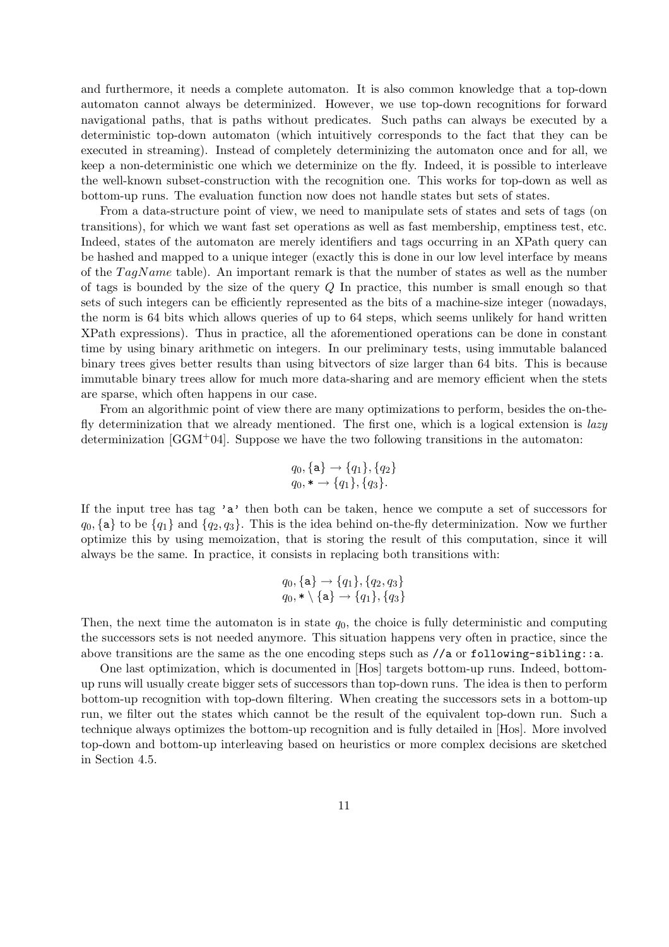and furthermore, it needs a complete automaton. It is also common knowledge that a top-down automaton cannot always be determinized. However, we use top-down recognitions for forward navigational paths, that is paths without predicates. Such paths can always be executed by a deterministic top-down automaton (which intuitively corresponds to the fact that they can be executed in streaming). Instead of completely determinizing the automaton once and for all, we keep a non-deterministic one which we determinize on the fly. Indeed, it is possible to interleave the well-known subset-construction with the recognition one. This works for top-down as well as bottom-up runs. The evaluation function now does not handle states but sets of states.

From a data-structure point of view, we need to manipulate sets of states and sets of tags (on transitions), for which we want fast set operations as well as fast membership, emptiness test, etc. Indeed, states of the automaton are merely identifiers and tags occurring in an XPath query can be hashed and mapped to a unique integer (exactly this is done in our low level interface by means of the  $TagName$  table). An important remark is that the number of states as well as the number of tags is bounded by the size of the query  $Q$  In practice, this number is small enough so that sets of such integers can be efficiently represented as the bits of a machine-size integer (nowadays, the norm is 64 bits which allows queries of up to 64 steps, which seems unlikely for hand written XPath expressions). Thus in practice, all the aforementioned operations can be done in constant time by using binary arithmetic on integers. In our preliminary tests, using immutable balanced binary trees gives better results than using bitvectors of size larger than 64 bits. This is because immutable binary trees allow for much more data-sharing and are memory efficient when the stets are sparse, which often happens in our case.

From an algorithmic point of view there are many optimizations to perform, besides the on-thefly determinization that we already mentioned. The first one, which is a logical extension is  $lazy$ determinization  $[GGM^+04]$ . Suppose we have the two following transitions in the automaton:

$$
q_0, \{a\} \to \{q_1\}, \{q_2\} q_0, * \to \{q_1\}, \{q_3\}.
$$

If the input tree has tag 'a' then both can be taken, hence we compute a set of successors for  $q_0$ , {a} to be  $\{q_1\}$  and  $\{q_2, q_3\}$ . This is the idea behind on-the-fly determinization. Now we further optimize this by using memoization, that is storing the result of this computation, since it will always be the same. In practice, it consists in replacing both transitions with:

$$
q_0, \{a\} \rightarrow \{q_1\}, \{q_2, q_3\} q_0, * \setminus \{a\} \rightarrow \{q_1\}, \{q_3\}
$$

Then, the next time the automaton is in state  $q_0$ , the choice is fully deterministic and computing the successors sets is not needed anymore. This situation happens very often in practice, since the above transitions are the same as the one encoding steps such as  $//a$  or following-sibling::a.

One last optimization, which is documented in [Hos] targets bottom-up runs. Indeed, bottomup runs will usually create bigger sets of successors than top-down runs. The idea is then to perform bottom-up recognition with top-down filtering. When creating the successors sets in a bottom-up run, we filter out the states which cannot be the result of the equivalent top-down run. Such a technique always optimizes the bottom-up recognition and is fully detailed in [Hos]. More involved top-down and bottom-up interleaving based on heuristics or more complex decisions are sketched in Section 4.5.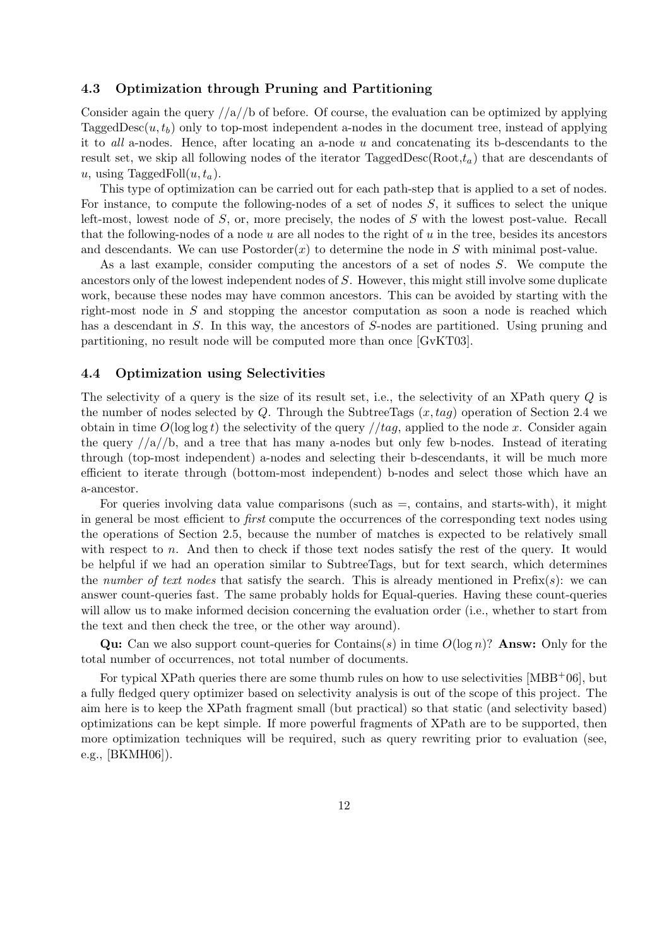#### 4.3 Optimization through Pruning and Partitioning

Consider again the query  $/|a|/b$  of before. Of course, the evaluation can be optimized by applying TaggedDesc $(u, t_b)$  only to top-most independent a-nodes in the document tree, instead of applying it to all a-nodes. Hence, after locating an a-node  $u$  and concatenating its b-descendants to the result set, we skip all following nodes of the iterator TaggedDesc(Root, $t_a$ ) that are descendants of u, using TaggedFoll $(u, t_a)$ .

This type of optimization can be carried out for each path-step that is applied to a set of nodes. For instance, to compute the following-nodes of a set of nodes S, it suffices to select the unique left-most, lowest node of S, or, more precisely, the nodes of S with the lowest post-value. Recall that the following-nodes of a node  $u$  are all nodes to the right of  $u$  in the tree, besides its ancestors and descendants. We can use  $Postorder(x)$  to determine the node in S with minimal post-value.

As a last example, consider computing the ancestors of a set of nodes S. We compute the ancestors only of the lowest independent nodes of S. However, this might still involve some duplicate work, because these nodes may have common ancestors. This can be avoided by starting with the right-most node in S and stopping the ancestor computation as soon a node is reached which has a descendant in S. In this way, the ancestors of S-nodes are partitioned. Using pruning and partitioning, no result node will be computed more than once [GvKT03].

### 4.4 Optimization using Selectivities

The selectivity of a query is the size of its result set, i.e., the selectivity of an XPath query Q is the number of nodes selected by Q. Through the SubtreeTags  $(x, taq)$  operation of Section 2.4 we obtain in time  $O(\log \log t)$  the selectivity of the query //tag, applied to the node x. Consider again the query  $/|a|/b$ , and a tree that has many a-nodes but only few b-nodes. Instead of iterating through (top-most independent) a-nodes and selecting their b-descendants, it will be much more efficient to iterate through (bottom-most independent) b-nodes and select those which have an a-ancestor.

For queries involving data value comparisons (such as  $=$ , contains, and starts-with), it might in general be most efficient to first compute the occurrences of the corresponding text nodes using the operations of Section 2.5, because the number of matches is expected to be relatively small with respect to n. And then to check if those text nodes satisfy the rest of the query. It would be helpful if we had an operation similar to SubtreeTags, but for text search, which determines the number of text nodes that satisfy the search. This is already mentioned in  $\text{Prefix}(s)$ : we can answer count-queries fast. The same probably holds for Equal-queries. Having these count-queries will allow us to make informed decision concerning the evaluation order (i.e., whether to start from the text and then check the tree, or the other way around).

**Qu:** Can we also support count-queries for Contains(s) in time  $O(\log n)$ ? **Answ:** Only for the total number of occurrences, not total number of documents.

For typical XPath queries there are some thumb rules on how to use selectivities  $[MBB<sup>+</sup>06]$ , but a fully fledged query optimizer based on selectivity analysis is out of the scope of this project. The aim here is to keep the XPath fragment small (but practical) so that static (and selectivity based) optimizations can be kept simple. If more powerful fragments of XPath are to be supported, then more optimization techniques will be required, such as query rewriting prior to evaluation (see, e.g., [BKMH06]).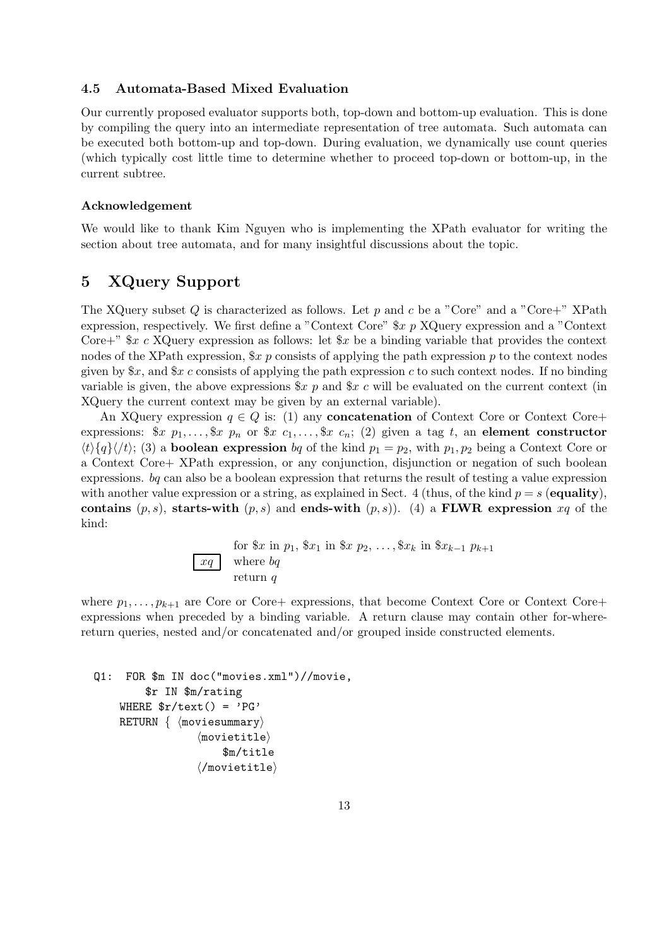#### 4.5 Automata-Based Mixed Evaluation

Our currently proposed evaluator supports both, top-down and bottom-up evaluation. This is done by compiling the query into an intermediate representation of tree automata. Such automata can be executed both bottom-up and top-down. During evaluation, we dynamically use count queries (which typically cost little time to determine whether to proceed top-down or bottom-up, in the current subtree.

### Acknowledgement

We would like to thank Kim Nguyen who is implementing the XPath evaluator for writing the section about tree automata, and for many insightful discussions about the topic.

## 5 XQuery Support

The XQuery subset Q is characterized as follows. Let p and c be a "Core" and a "Core+" XPath expression, respectively. We first define a "Context Core" \$x p XQuery expression and a "Context Core+"  $x c$  XQuery expression as follows: let  $x$  be a binding variable that provides the context nodes of the XPath expression,  $x p$  consists of applying the path expression p to the context nodes given by  $x$ , and  $x$  c consists of applying the path expression c to such context nodes. If no binding variable is given, the above expressions  $x p$  and  $x c$  will be evaluated on the current context (in XQuery the current context may be given by an external variable).

An XQuery expression  $q \in Q$  is: (1) any **concatenation** of Context Core or Context Core+ expressions:  $x p_1, \ldots, x p_n$  or  $x c_1, \ldots, x c_n$ ; (2) given a tag t, an element constructor  $\langle t \rangle$ {q} $\langle t \rangle$ ; (3) a **boolean expression** bq of the kind  $p_1 = p_2$ , with  $p_1, p_2$  being a Context Core or a Context Core+ XPath expression, or any conjunction, disjunction or negation of such boolean expressions. bq can also be a boolean expression that returns the result of testing a value expression with another value expression or a string, as explained in Sect. 4 (thus, of the kind  $p = s$  (equality), contains  $(p, s)$ , starts-with  $(p, s)$  and ends-with  $(p, s)$ . (4) a FLWR expression  $xq$  of the kind:

for 
$$
x
$$
 in  $p_1$ ,  $x_1$  in  $x_2$ , ...,  $x_k$  in  $x_{k-1}$ ,  $p_{k+1}$  where  $bq$  return  $q$ 

where  $p_1, \ldots, p_{k+1}$  are Core or Core+ expressions, that become Context Core or Context Core+ expressions when preceded by a binding variable. A return clause may contain other for-wherereturn queries, nested and/or concatenated and/or grouped inside constructed elements.

```
Q1: FOR $m IN doc("movies.xml")//movie,
     $r IN $m/rating
WHERE \frac{\pi}{\tan \theta} = 'PG'
RETURN \{ (moviesummary)
                \langlemovietitle\rangle$m/title
                \langle/movietitle\rangle
```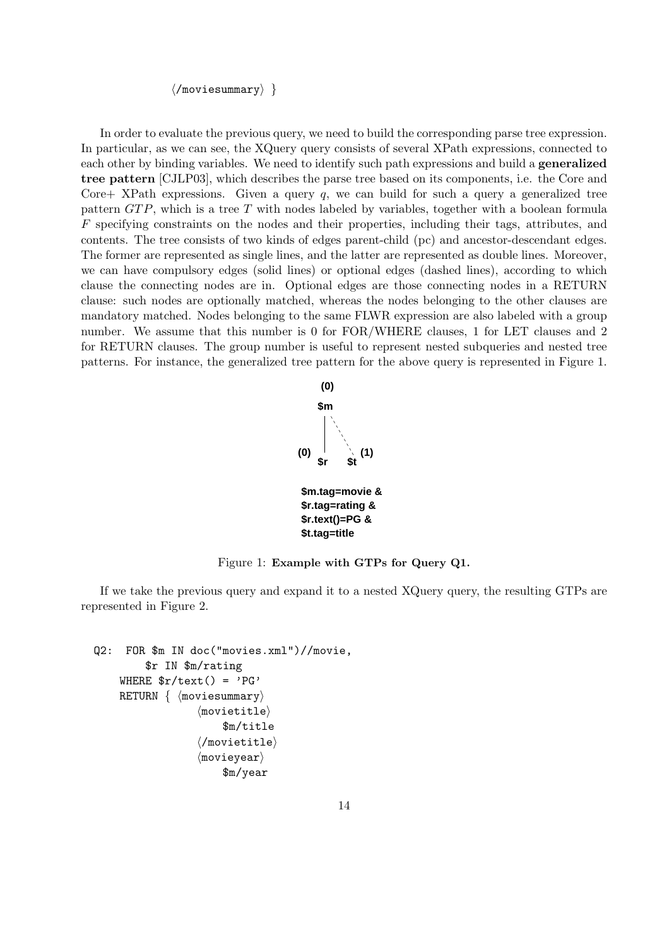$\langle$ /moviesummary $\rangle$ }

In order to evaluate the previous query, we need to build the corresponding parse tree expression. In particular, as we can see, the XQuery query consists of several XPath expressions, connected to each other by binding variables. We need to identify such path expressions and build a **generalized** tree pattern [CJLP03], which describes the parse tree based on its components, i.e. the Core and Core  $\pm$  XPath expressions. Given a query q, we can build for such a query a generalized tree pattern  $GTP$ , which is a tree T with nodes labeled by variables, together with a boolean formula F specifying constraints on the nodes and their properties, including their tags, attributes, and contents. The tree consists of two kinds of edges parent-child (pc) and ancestor-descendant edges. The former are represented as single lines, and the latter are represented as double lines. Moreover, we can have compulsory edges (solid lines) or optional edges (dashed lines), according to which clause the connecting nodes are in. Optional edges are those connecting nodes in a RETURN clause: such nodes are optionally matched, whereas the nodes belonging to the other clauses are mandatory matched. Nodes belonging to the same FLWR expression are also labeled with a group number. We assume that this number is 0 for FOR/WHERE clauses, 1 for LET clauses and 2 for RETURN clauses. The group number is useful to represent nested subqueries and nested tree patterns. For instance, the generalized tree pattern for the above query is represented in Figure 1.



Figure 1: Example with GTPs for Query Q1.

If we take the previous query and expand it to a nested XQuery query, the resulting GTPs are represented in Figure 2.

```
Q2: FOR $m IN doc("movies.xml")//movie,
     $r IN $m/rating
WHERE \frac{\pi}{\tan \theta} = 'PG'
RETURN \{ (moviesummary)
                \langlemovietitle\rangle$m/title
                 \langle/movietitle\rangle\langlemovieyear\rangle$m/year
```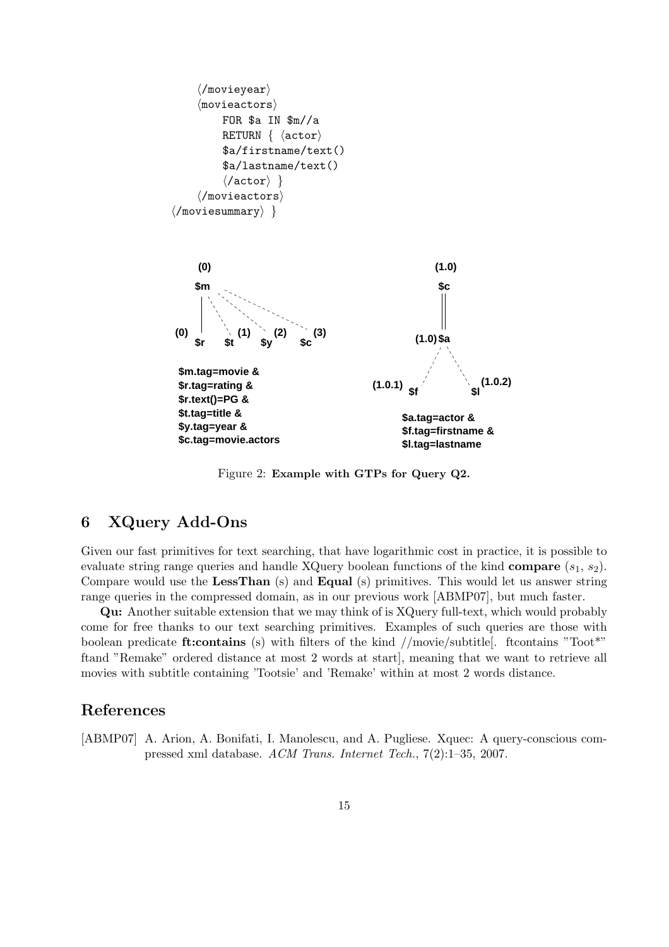

Figure 2: Example with GTPs for Query Q2.

# 6 XQuery Add-Ons

Given our fast primitives for text searching, that have logarithmic cost in practice, it is possible to evaluate string range queries and handle XQuery boolean functions of the kind compare  $(s_1, s_2)$ . Compare would use the LessThan (s) and Equal (s) primitives. This would let us answer string range queries in the compressed domain, as in our previous work [ABMP07], but much faster.

Qu: Another suitable extension that we may think of is XQuery full-text, which would probably come for free thanks to our text searching primitives. Examples of such queries are those with boolean predicate **ft:**contains (s) with filters of the kind  $//$ movie/subtitle. ftcontains "Toot\*" ftand "Remake" ordered distance at most 2 words at start], meaning that we want to retrieve all movies with subtitle containing 'Tootsie' and 'Remake' within at most 2 words distance.

### References

[ABMP07] A. Arion, A. Bonifati, I. Manolescu, and A. Pugliese. Xquec: A query-conscious compressed xml database. ACM Trans. Internet Tech., 7(2):1–35, 2007.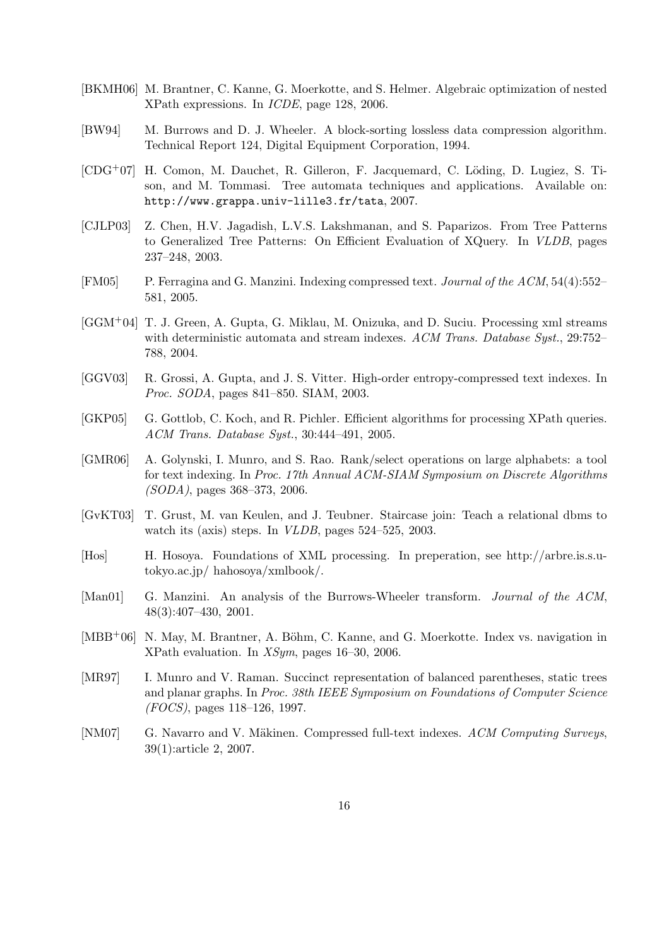- [BKMH06] M. Brantner, C. Kanne, G. Moerkotte, and S. Helmer. Algebraic optimization of nested XPath expressions. In ICDE, page 128, 2006.
- [BW94] M. Burrows and D. J. Wheeler. A block-sorting lossless data compression algorithm. Technical Report 124, Digital Equipment Corporation, 1994.
- $[CDG<sup>+</sup>07]$  H. Comon, M. Dauchet, R. Gilleron, F. Jacquemard, C. Löding, D. Lugiez, S. Tison, and M. Tommasi. Tree automata techniques and applications. Available on: http://www.grappa.univ-lille3.fr/tata, 2007.
- [CJLP03] Z. Chen, H.V. Jagadish, L.V.S. Lakshmanan, and S. Paparizos. From Tree Patterns to Generalized Tree Patterns: On Efficient Evaluation of XQuery. In VLDB, pages 237–248, 2003.
- [FM05] P. Ferragina and G. Manzini. Indexing compressed text. *Journal of the ACM*, 54(4):552– 581, 2005.
- [GGM+04] T. J. Green, A. Gupta, G. Miklau, M. Onizuka, and D. Suciu. Processing xml streams with deterministic automata and stream indexes. ACM Trans. Database Syst., 29:752– 788, 2004.
- [GGV03] R. Grossi, A. Gupta, and J. S. Vitter. High-order entropy-compressed text indexes. In Proc. SODA, pages 841–850. SIAM, 2003.
- [GKP05] G. Gottlob, C. Koch, and R. Pichler. Efficient algorithms for processing XPath queries. ACM Trans. Database Syst., 30:444–491, 2005.
- [GMR06] A. Golynski, I. Munro, and S. Rao. Rank/select operations on large alphabets: a tool for text indexing. In Proc. 17th Annual ACM-SIAM Symposium on Discrete Algorithms (SODA), pages 368–373, 2006.
- [GvKT03] T. Grust, M. van Keulen, and J. Teubner. Staircase join: Teach a relational dbms to watch its (axis) steps. In VLDB, pages 524–525, 2003.
- [Hos] H. Hosoya. Foundations of XML processing. In preperation, see http://arbre.is.s.utokyo.ac.jp/ hahosoya/xmlbook/.
- [Man01] G. Manzini. An analysis of the Burrows-Wheeler transform. *Journal of the ACM*, 48(3):407–430, 2001.
- $[MBB<sup>+</sup>06]$  N. May, M. Brantner, A. Böhm, C. Kanne, and G. Moerkotte. Index vs. navigation in XPath evaluation. In XSym, pages 16–30, 2006.
- [MR97] I. Munro and V. Raman. Succinct representation of balanced parentheses, static trees and planar graphs. In Proc. 38th IEEE Symposium on Foundations of Computer Science (FOCS), pages 118–126, 1997.
- [NM07] G. Navarro and V. Mäkinen. Compressed full-text indexes. ACM Computing Surveys, 39(1):article 2, 2007.